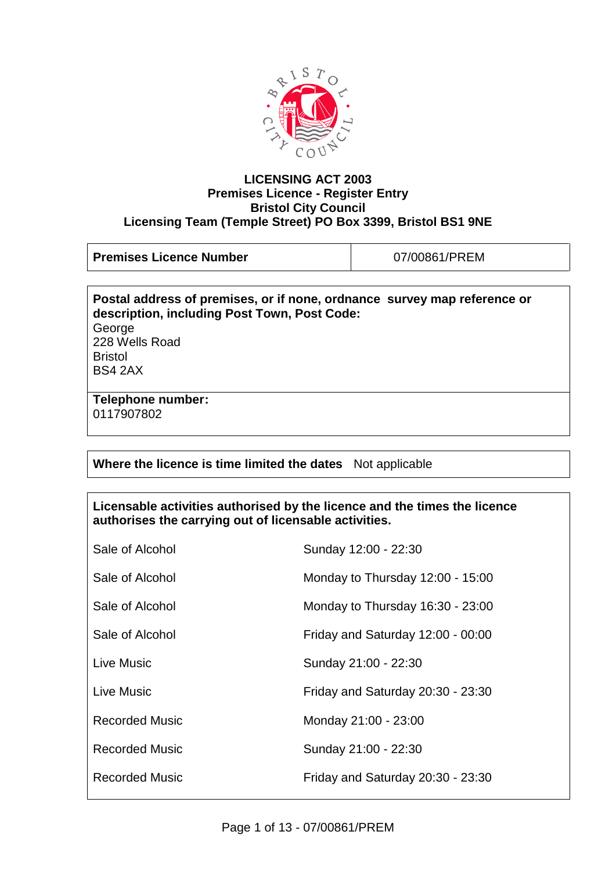

#### **LICENSING ACT 2003 Premises Licence - Register Entry Bristol City Council Licensing Team (Temple Street) PO Box 3399, Bristol BS1 9NE**

**Premises Licence Number**  $\vert$  07/00861/PREM

**Postal address of premises, or if none, ordnance survey map reference or description, including Post Town, Post Code:** George 228 Wells Road Bristol BS4 2AX

**Telephone number:**  0117907802

# **Where the licence is time limited the dates** Not applicable

## **Licensable activities authorised by the licence and the times the licence authorises the carrying out of licensable activities.**

| Sale of Alcohol       | Sunday 12:00 - 22:30              |
|-----------------------|-----------------------------------|
| Sale of Alcohol       | Monday to Thursday 12:00 - 15:00  |
| Sale of Alcohol       | Monday to Thursday 16:30 - 23:00  |
| Sale of Alcohol       | Friday and Saturday 12:00 - 00:00 |
| Live Music            | Sunday 21:00 - 22:30              |
| Live Music            | Friday and Saturday 20:30 - 23:30 |
| <b>Recorded Music</b> | Monday 21:00 - 23:00              |
| Recorded Music        | Sunday 21:00 - 22:30              |
| <b>Recorded Music</b> | Friday and Saturday 20:30 - 23:30 |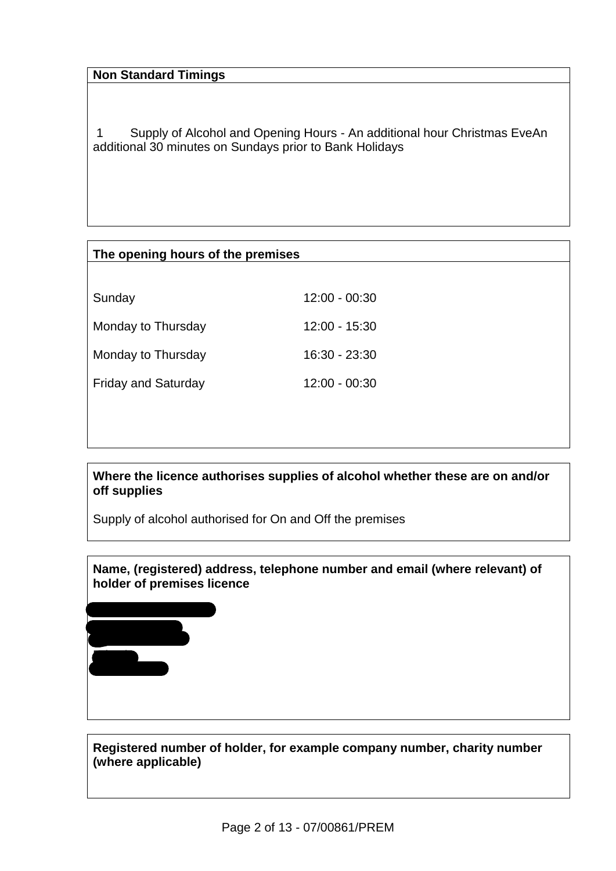# **Non Standard Timings**

Mrs Valerie Matthews

The George Inn 228 Wells Road

Bristol BS4 2AX

1 Supply of Alcohol and Opening Hours - An additional hour Christmas EveAn additional 30 minutes on Sundays prior to Bank Holidays

| The opening hours of the premises |                 |
|-----------------------------------|-----------------|
|                                   |                 |
| Sunday                            | $12:00 - 00:30$ |
| Monday to Thursday                | $12:00 - 15:30$ |
| Monday to Thursday                | 16:30 - 23:30   |
| <b>Friday and Saturday</b>        | $12:00 - 00:30$ |
|                                   |                 |
|                                   |                 |

**Where the licence authorises supplies of alcohol whether these are on and/or off supplies**

Supply of alcohol authorised for On and Off the premises

**Name, (registered) address, telephone number and email (where relevant) of holder of premises licence**

**Registered number of holder, for example company number, charity number (where applicable)**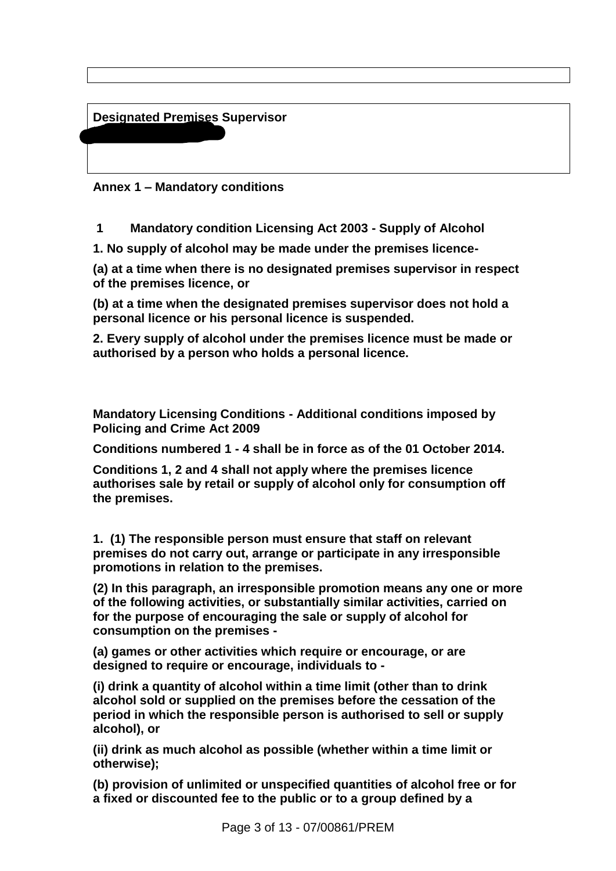**Designated Premises Supervisor**

Miss Jodi Matthews

**Annex 1 – Mandatory conditions**

**1 Mandatory condition Licensing Act 2003 - Supply of Alcohol**

**1. No supply of alcohol may be made under the premises licence-**

**(a) at a time when there is no designated premises supervisor in respect of the premises licence, or** 

**(b) at a time when the designated premises supervisor does not hold a personal licence or his personal licence is suspended.**

**2. Every supply of alcohol under the premises licence must be made or authorised by a person who holds a personal licence.**

**Mandatory Licensing Conditions - Additional conditions imposed by Policing and Crime Act 2009**

**Conditions numbered 1 - 4 shall be in force as of the 01 October 2014.**

**Conditions 1, 2 and 4 shall not apply where the premises licence authorises sale by retail or supply of alcohol only for consumption off the premises.**

**1. (1) The responsible person must ensure that staff on relevant premises do not carry out, arrange or participate in any irresponsible promotions in relation to the premises.**

**(2) In this paragraph, an irresponsible promotion means any one or more of the following activities, or substantially similar activities, carried on for the purpose of encouraging the sale or supply of alcohol for consumption on the premises -**

**(a) games or other activities which require or encourage, or are designed to require or encourage, individuals to -**

**(i) drink a quantity of alcohol within a time limit (other than to drink alcohol sold or supplied on the premises before the cessation of the period in which the responsible person is authorised to sell or supply alcohol), or**

**(ii) drink as much alcohol as possible (whether within a time limit or otherwise);**

**(b) provision of unlimited or unspecified quantities of alcohol free or for a fixed or discounted fee to the public or to a group defined by a**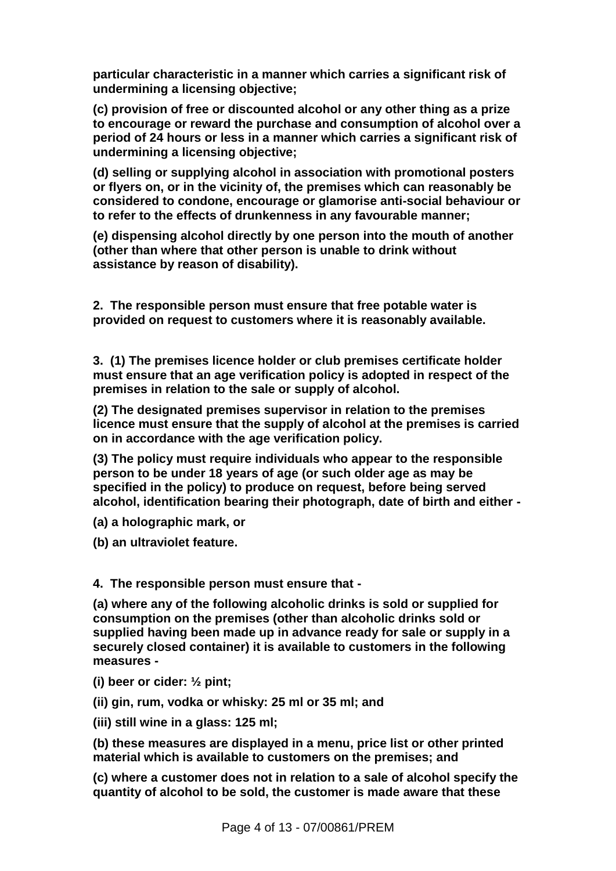**particular characteristic in a manner which carries a significant risk of undermining a licensing objective;**

**(c) provision of free or discounted alcohol or any other thing as a prize to encourage or reward the purchase and consumption of alcohol over a period of 24 hours or less in a manner which carries a significant risk of undermining a licensing objective;**

**(d) selling or supplying alcohol in association with promotional posters or flyers on, or in the vicinity of, the premises which can reasonably be considered to condone, encourage or glamorise anti-social behaviour or to refer to the effects of drunkenness in any favourable manner;**

**(e) dispensing alcohol directly by one person into the mouth of another (other than where that other person is unable to drink without assistance by reason of disability).**

**2. The responsible person must ensure that free potable water is provided on request to customers where it is reasonably available.**

**3. (1) The premises licence holder or club premises certificate holder must ensure that an age verification policy is adopted in respect of the premises in relation to the sale or supply of alcohol.**

**(2) The designated premises supervisor in relation to the premises licence must ensure that the supply of alcohol at the premises is carried on in accordance with the age verification policy.**

**(3) The policy must require individuals who appear to the responsible person to be under 18 years of age (or such older age as may be specified in the policy) to produce on request, before being served alcohol, identification bearing their photograph, date of birth and either -**

**(a) a holographic mark, or**

**(b) an ultraviolet feature.**

#### **4. The responsible person must ensure that -**

**(a) where any of the following alcoholic drinks is sold or supplied for consumption on the premises (other than alcoholic drinks sold or supplied having been made up in advance ready for sale or supply in a securely closed container) it is available to customers in the following measures -**

- **(i) beer or cider: ½ pint;**
- **(ii) gin, rum, vodka or whisky: 25 ml or 35 ml; and**
- **(iii) still wine in a glass: 125 ml;**

**(b) these measures are displayed in a menu, price list or other printed material which is available to customers on the premises; and**

**(c) where a customer does not in relation to a sale of alcohol specify the quantity of alcohol to be sold, the customer is made aware that these**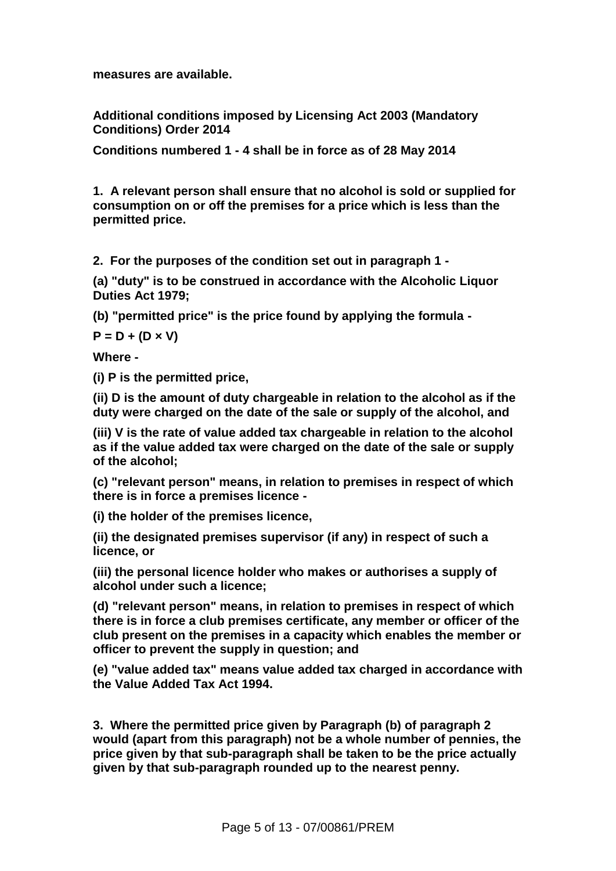**measures are available.**

**Additional conditions imposed by Licensing Act 2003 (Mandatory Conditions) Order 2014**

**Conditions numbered 1 - 4 shall be in force as of 28 May 2014**

**1. A relevant person shall ensure that no alcohol is sold or supplied for consumption on or off the premises for a price which is less than the permitted price.**

**2. For the purposes of the condition set out in paragraph 1 -**

**(a) "duty" is to be construed in accordance with the Alcoholic Liquor Duties Act 1979;**

**(b) "permitted price" is the price found by applying the formula -**

**P = D + (D × V)**

**Where -**

**(i) P is the permitted price,**

**(ii) D is the amount of duty chargeable in relation to the alcohol as if the duty were charged on the date of the sale or supply of the alcohol, and**

**(iii) V is the rate of value added tax chargeable in relation to the alcohol as if the value added tax were charged on the date of the sale or supply of the alcohol;**

**(c) "relevant person" means, in relation to premises in respect of which there is in force a premises licence -**

**(i) the holder of the premises licence,**

**(ii) the designated premises supervisor (if any) in respect of such a licence, or**

**(iii) the personal licence holder who makes or authorises a supply of alcohol under such a licence;**

**(d) "relevant person" means, in relation to premises in respect of which there is in force a club premises certificate, any member or officer of the club present on the premises in a capacity which enables the member or officer to prevent the supply in question; and**

**(e) "value added tax" means value added tax charged in accordance with the Value Added Tax Act 1994.**

**3. Where the permitted price given by Paragraph (b) of paragraph 2 would (apart from this paragraph) not be a whole number of pennies, the price given by that sub-paragraph shall be taken to be the price actually given by that sub-paragraph rounded up to the nearest penny.**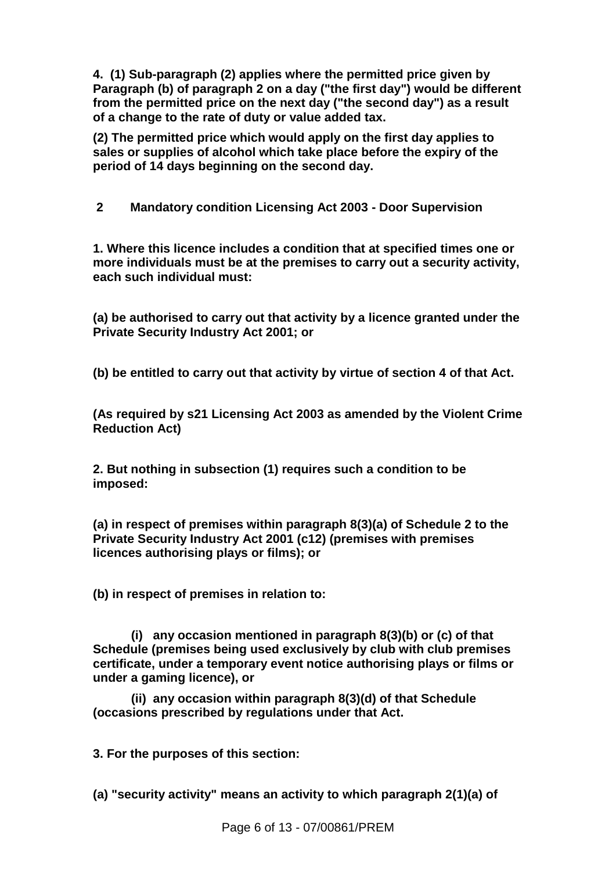**4. (1) Sub-paragraph (2) applies where the permitted price given by Paragraph (b) of paragraph 2 on a day ("the first day") would be different from the permitted price on the next day ("the second day") as a result of a change to the rate of duty or value added tax.**

**(2) The permitted price which would apply on the first day applies to sales or supplies of alcohol which take place before the expiry of the period of 14 days beginning on the second day.**

**2 Mandatory condition Licensing Act 2003 - Door Supervision**

**1. Where this licence includes a condition that at specified times one or more individuals must be at the premises to carry out a security activity, each such individual must:** 

**(a) be authorised to carry out that activity by a licence granted under the Private Security Industry Act 2001; or**

**(b) be entitled to carry out that activity by virtue of section 4 of that Act.** 

**(As required by s21 Licensing Act 2003 as amended by the Violent Crime Reduction Act)**

**2. But nothing in subsection (1) requires such a condition to be imposed:**

**(a) in respect of premises within paragraph 8(3)(a) of Schedule 2 to the Private Security Industry Act 2001 (c12) (premises with premises licences authorising plays or films); or**

**(b) in respect of premises in relation to:**

 **(i) any occasion mentioned in paragraph 8(3)(b) or (c) of that Schedule (premises being used exclusively by club with club premises certificate, under a temporary event notice authorising plays or films or under a gaming licence), or**

 **(ii) any occasion within paragraph 8(3)(d) of that Schedule (occasions prescribed by regulations under that Act.**

**3. For the purposes of this section:**

**(a) "security activity" means an activity to which paragraph 2(1)(a) of**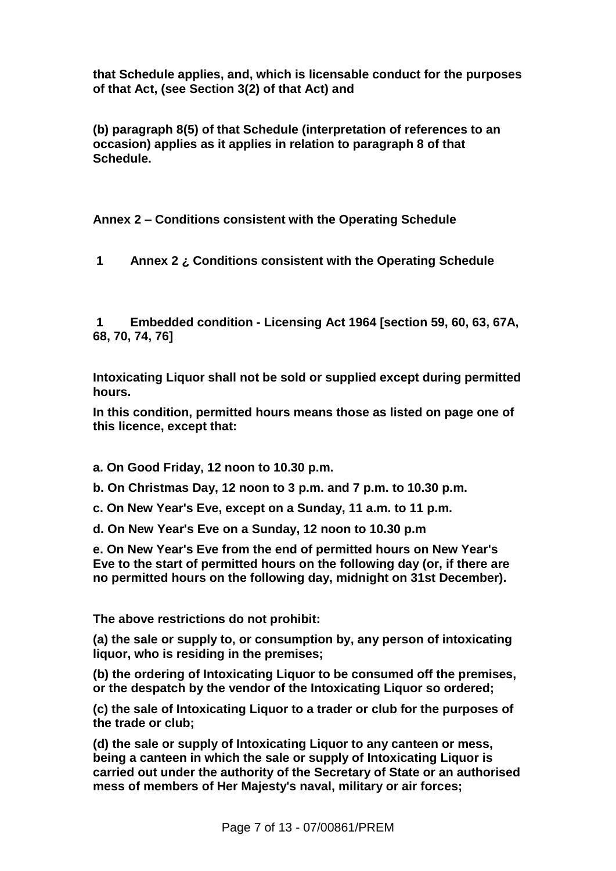**that Schedule applies, and, which is licensable conduct for the purposes of that Act, (see Section 3(2) of that Act) and** 

**(b) paragraph 8(5) of that Schedule (interpretation of references to an occasion) applies as it applies in relation to paragraph 8 of that Schedule.**

**Annex 2 – Conditions consistent with the Operating Schedule**

**1 Annex 2 ¿ Conditions consistent with the Operating Schedule**

**1 Embedded condition - Licensing Act 1964 [section 59, 60, 63, 67A, 68, 70, 74, 76]**

**Intoxicating Liquor shall not be sold or supplied except during permitted hours.**

**In this condition, permitted hours means those as listed on page one of this licence, except that:**

- **a. On Good Friday, 12 noon to 10.30 p.m.**
- **b. On Christmas Day, 12 noon to 3 p.m. and 7 p.m. to 10.30 p.m.**
- **c. On New Year's Eve, except on a Sunday, 11 a.m. to 11 p.m.**
- **d. On New Year's Eve on a Sunday, 12 noon to 10.30 p.m**

**e. On New Year's Eve from the end of permitted hours on New Year's Eve to the start of permitted hours on the following day (or, if there are no permitted hours on the following day, midnight on 31st December).**

**The above restrictions do not prohibit:**

**(a) the sale or supply to, or consumption by, any person of intoxicating liquor, who is residing in the premises;**

**(b) the ordering of Intoxicating Liquor to be consumed off the premises, or the despatch by the vendor of the Intoxicating Liquor so ordered;**

**(c) the sale of Intoxicating Liquor to a trader or club for the purposes of the trade or club;**

**(d) the sale or supply of Intoxicating Liquor to any canteen or mess, being a canteen in which the sale or supply of Intoxicating Liquor is carried out under the authority of the Secretary of State or an authorised mess of members of Her Majesty's naval, military or air forces;**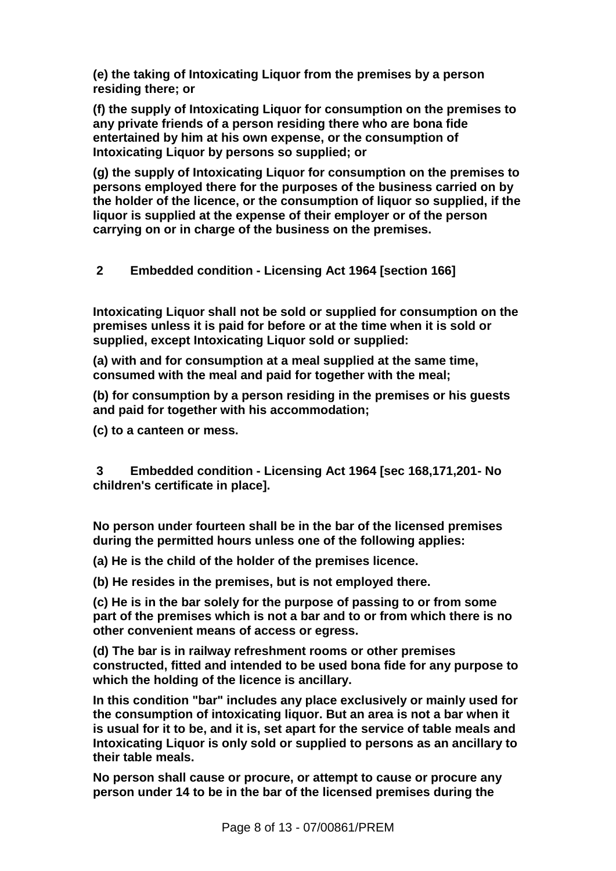**(e) the taking of Intoxicating Liquor from the premises by a person residing there; or**

**(f) the supply of Intoxicating Liquor for consumption on the premises to any private friends of a person residing there who are bona fide entertained by him at his own expense, or the consumption of Intoxicating Liquor by persons so supplied; or**

**(g) the supply of Intoxicating Liquor for consumption on the premises to persons employed there for the purposes of the business carried on by the holder of the licence, or the consumption of liquor so supplied, if the liquor is supplied at the expense of their employer or of the person carrying on or in charge of the business on the premises.**

## **2 Embedded condition - Licensing Act 1964 [section 166]**

**Intoxicating Liquor shall not be sold or supplied for consumption on the premises unless it is paid for before or at the time when it is sold or supplied, except Intoxicating Liquor sold or supplied:**

**(a) with and for consumption at a meal supplied at the same time, consumed with the meal and paid for together with the meal;**

**(b) for consumption by a person residing in the premises or his guests and paid for together with his accommodation;**

**(c) to a canteen or mess.**

**3 Embedded condition - Licensing Act 1964 [sec 168,171,201- No children's certificate in place].**

**No person under fourteen shall be in the bar of the licensed premises during the permitted hours unless one of the following applies:**

**(a) He is the child of the holder of the premises licence.**

**(b) He resides in the premises, but is not employed there.**

**(c) He is in the bar solely for the purpose of passing to or from some part of the premises which is not a bar and to or from which there is no other convenient means of access or egress.**

**(d) The bar is in railway refreshment rooms or other premises constructed, fitted and intended to be used bona fide for any purpose to which the holding of the licence is ancillary.**

**In this condition "bar" includes any place exclusively or mainly used for the consumption of intoxicating liquor. But an area is not a bar when it is usual for it to be, and it is, set apart for the service of table meals and Intoxicating Liquor is only sold or supplied to persons as an ancillary to their table meals.**

**No person shall cause or procure, or attempt to cause or procure any person under 14 to be in the bar of the licensed premises during the**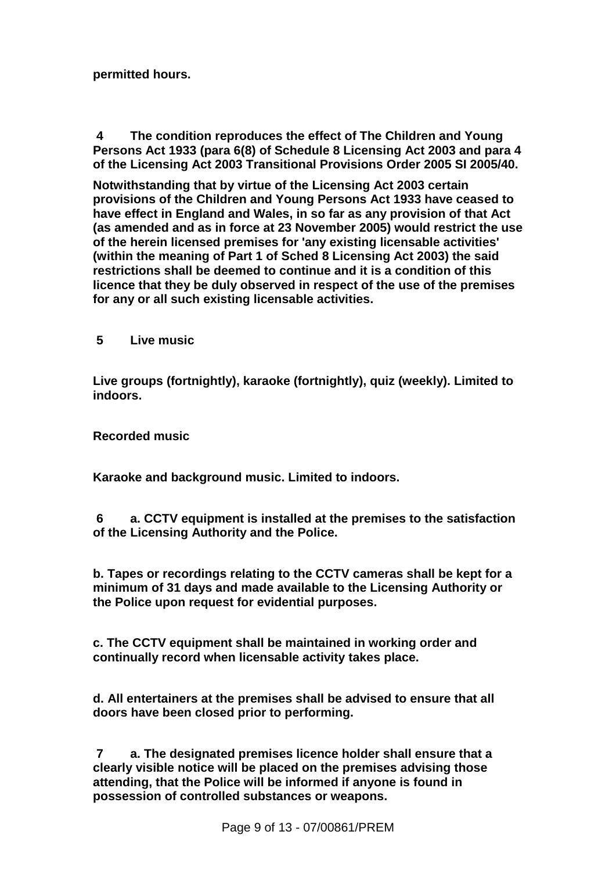**permitted hours.**

**4 The condition reproduces the effect of The Children and Young Persons Act 1933 (para 6(8) of Schedule 8 Licensing Act 2003 and para 4 of the Licensing Act 2003 Transitional Provisions Order 2005 SI 2005/40.**

**Notwithstanding that by virtue of the Licensing Act 2003 certain provisions of the Children and Young Persons Act 1933 have ceased to have effect in England and Wales, in so far as any provision of that Act (as amended and as in force at 23 November 2005) would restrict the use of the herein licensed premises for 'any existing licensable activities' (within the meaning of Part 1 of Sched 8 Licensing Act 2003) the said restrictions shall be deemed to continue and it is a condition of this licence that they be duly observed in respect of the use of the premises for any or all such existing licensable activities.**

**5 Live music**

**Live groups (fortnightly), karaoke (fortnightly), quiz (weekly). Limited to indoors.**

**Recorded music**

**Karaoke and background music. Limited to indoors.**

**6 a. CCTV equipment is installed at the premises to the satisfaction of the Licensing Authority and the Police.**

**b. Tapes or recordings relating to the CCTV cameras shall be kept for a minimum of 31 days and made available to the Licensing Authority or the Police upon request for evidential purposes.**

**c. The CCTV equipment shall be maintained in working order and continually record when licensable activity takes place.**

**d. All entertainers at the premises shall be advised to ensure that all doors have been closed prior to performing.**

**7 a. The designated premises licence holder shall ensure that a clearly visible notice will be placed on the premises advising those attending, that the Police will be informed if anyone is found in possession of controlled substances or weapons.**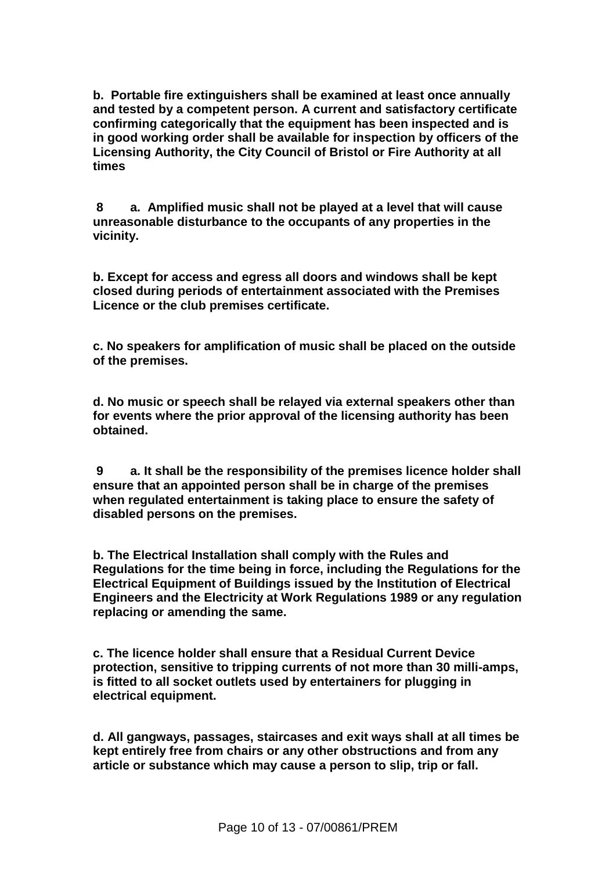**b. Portable fire extinguishers shall be examined at least once annually and tested by a competent person. A current and satisfactory certificate confirming categorically that the equipment has been inspected and is in good working order shall be available for inspection by officers of the Licensing Authority, the City Council of Bristol or Fire Authority at all times**

**8 a. Amplified music shall not be played at a level that will cause unreasonable disturbance to the occupants of any properties in the vicinity.**

**b. Except for access and egress all doors and windows shall be kept closed during periods of entertainment associated with the Premises Licence or the club premises certificate.**

**c. No speakers for amplification of music shall be placed on the outside of the premises.**

**d. No music or speech shall be relayed via external speakers other than for events where the prior approval of the licensing authority has been obtained.**

**9 a. It shall be the responsibility of the premises licence holder shall ensure that an appointed person shall be in charge of the premises when regulated entertainment is taking place to ensure the safety of disabled persons on the premises.**

**b. The Electrical Installation shall comply with the Rules and Regulations for the time being in force, including the Regulations for the Electrical Equipment of Buildings issued by the Institution of Electrical Engineers and the Electricity at Work Regulations 1989 or any regulation replacing or amending the same.**

**c. The licence holder shall ensure that a Residual Current Device protection, sensitive to tripping currents of not more than 30 milli-amps, is fitted to all socket outlets used by entertainers for plugging in electrical equipment.**

**d. All gangways, passages, staircases and exit ways shall at all times be kept entirely free from chairs or any other obstructions and from any article or substance which may cause a person to slip, trip or fall.**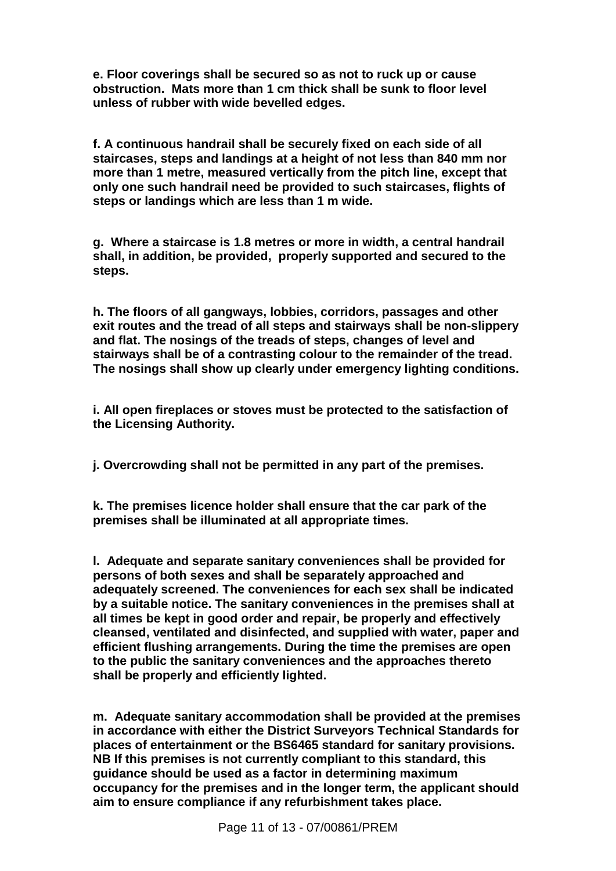**e. Floor coverings shall be secured so as not to ruck up or cause obstruction. Mats more than 1 cm thick shall be sunk to floor level unless of rubber with wide bevelled edges.**

**f. A continuous handrail shall be securely fixed on each side of all staircases, steps and landings at a height of not less than 840 mm nor more than 1 metre, measured vertically from the pitch line, except that only one such handrail need be provided to such staircases, flights of steps or landings which are less than 1 m wide.**

**g. Where a staircase is 1.8 metres or more in width, a central handrail shall, in addition, be provided, properly supported and secured to the steps.**

**h. The floors of all gangways, lobbies, corridors, passages and other exit routes and the tread of all steps and stairways shall be non-slippery and flat. The nosings of the treads of steps, changes of level and stairways shall be of a contrasting colour to the remainder of the tread. The nosings shall show up clearly under emergency lighting conditions.**

**i. All open fireplaces or stoves must be protected to the satisfaction of the Licensing Authority.**

**j. Overcrowding shall not be permitted in any part of the premises.**

**k. The premises licence holder shall ensure that the car park of the premises shall be illuminated at all appropriate times.**

**l. Adequate and separate sanitary conveniences shall be provided for persons of both sexes and shall be separately approached and adequately screened. The conveniences for each sex shall be indicated by a suitable notice. The sanitary conveniences in the premises shall at all times be kept in good order and repair, be properly and effectively cleansed, ventilated and disinfected, and supplied with water, paper and efficient flushing arrangements. During the time the premises are open to the public the sanitary conveniences and the approaches thereto shall be properly and efficiently lighted.**

**m. Adequate sanitary accommodation shall be provided at the premises in accordance with either the District Surveyors Technical Standards for places of entertainment or the BS6465 standard for sanitary provisions. NB If this premises is not currently compliant to this standard, this guidance should be used as a factor in determining maximum occupancy for the premises and in the longer term, the applicant should aim to ensure compliance if any refurbishment takes place.**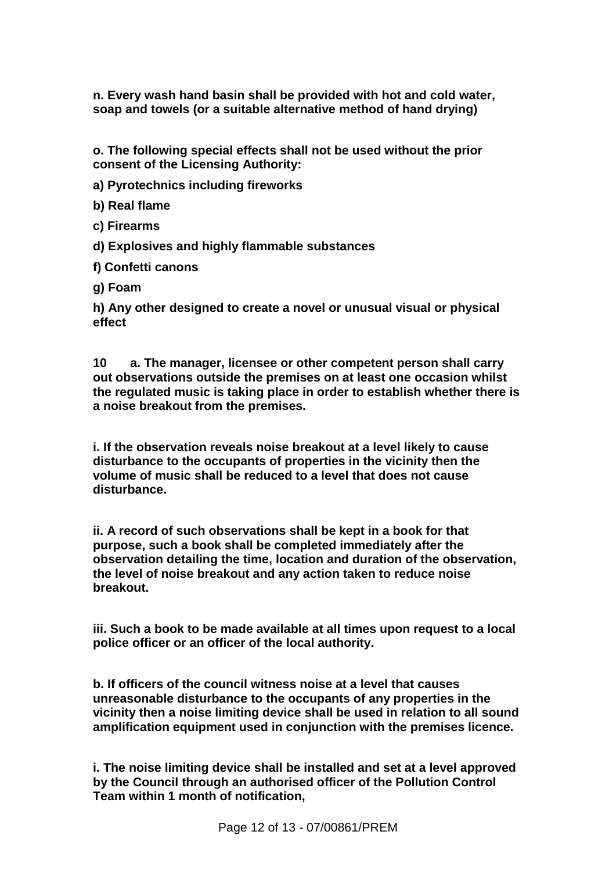**n. Every wash hand basin shall be provided with hot and cold water, soap and towels (or a suitable alternative method of hand drying)**

**o. The following special effects shall not be used without the prior consent of the Licensing Authority:**

**a) Pyrotechnics including fireworks**

**b) Real flame**

**c) Firearms**

**d) Explosives and highly flammable substances**

**f) Confetti canons**

**g) Foam** 

**h) Any other designed to create a novel or unusual visual or physical effect**

**10 a. The manager, licensee or other competent person shall carry out observations outside the premises on at least one occasion whilst the regulated music is taking place in order to establish whether there is a noise breakout from the premises.**

**i. If the observation reveals noise breakout at a level likely to cause disturbance to the occupants of properties in the vicinity then the volume of music shall be reduced to a level that does not cause disturbance.**

**ii. A record of such observations shall be kept in a book for that purpose, such a book shall be completed immediately after the observation detailing the time, location and duration of the observation, the level of noise breakout and any action taken to reduce noise breakout.**

**iii. Such a book to be made available at all times upon request to a local police officer or an officer of the local authority.**

**b. If officers of the council witness noise at a level that causes unreasonable disturbance to the occupants of any properties in the vicinity then a noise limiting device shall be used in relation to all sound amplification equipment used in conjunction with the premises licence.**

**i. The noise limiting device shall be installed and set at a level approved by the Council through an authorised officer of the Pollution Control Team within 1 month of notification,**